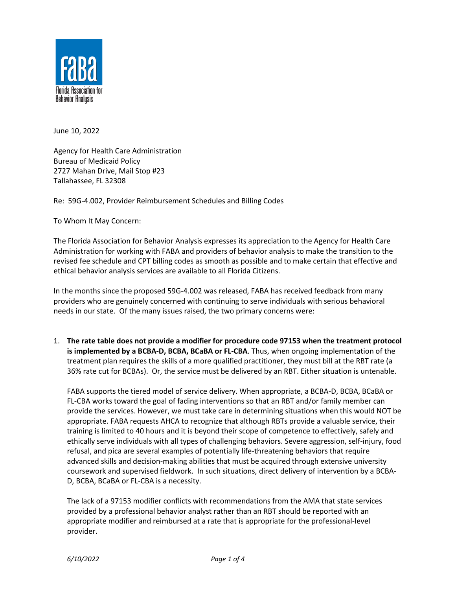

June 10, 2022

Agency for Health Care Administration Bureau of Medicaid Policy 2727 Mahan Drive, Mail Stop #23 Tallahassee, FL 32308

Re: 59G-4.002, Provider Reimbursement Schedules and Billing Codes

To Whom It May Concern:

The Florida Association for Behavior Analysis expresses its appreciation to the Agency for Health Care Administration for working with FABA and providers of behavior analysis to make the transition to the revised fee schedule and CPT billing codes as smooth as possible and to make certain that effective and ethical behavior analysis services are available to all Florida Citizens.

In the months since the proposed 59G-4.002 was released, FABA has received feedback from many providers who are genuinely concerned with continuing to serve individuals with serious behavioral needs in our state. Of the many issues raised, the two primary concerns were:

1. **The rate table does not provide a modifier for procedure code 97153 when the treatment protocol is implemented by a BCBA-D, BCBA, BCaBA or FL-CBA**. Thus, when ongoing implementation of the treatment plan requires the skills of a more qualified practitioner, they must bill at the RBT rate (a 36% rate cut for BCBAs). Or, the service must be delivered by an RBT. Either situation is untenable.

FABA supports the tiered model of service delivery. When appropriate, a BCBA-D, BCBA, BCaBA or FL-CBA works toward the goal of fading interventions so that an RBT and/or family member can provide the services. However, we must take care in determining situations when this would NOT be appropriate. FABA requests AHCA to recognize that although RBTs provide a valuable service, their training is limited to 40 hours and it is beyond their scope of competence to effectively, safely and ethically serve individuals with all types of challenging behaviors. Severe aggression, self-injury, food refusal, and pica are several examples of potentially life-threatening behaviors that require advanced skills and decision-making abilities that must be acquired through extensive university coursework and supervised fieldwork. In such situations, direct delivery of intervention by a BCBA-D, BCBA, BCaBA or FL-CBA is a necessity.

The lack of a 97153 modifier conflicts with recommendations from the AMA that state services provided by a professional behavior analyst rather than an RBT should be reported with an appropriate modifier and reimbursed at a rate that is appropriate for the professional-level provider.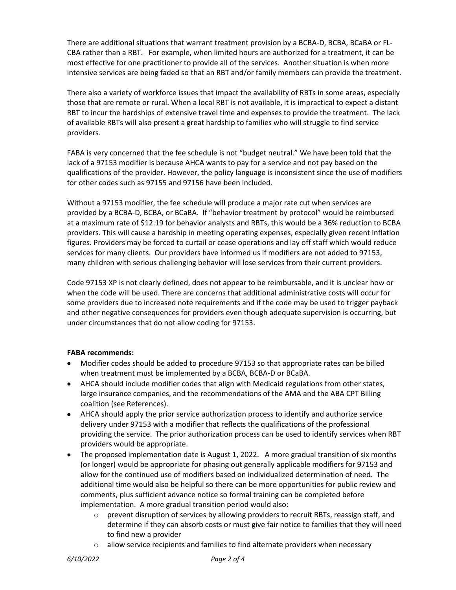There are additional situations that warrant treatment provision by a BCBA-D, BCBA, BCaBA or FL-CBA rather than a RBT. For example, when limited hours are authorized for a treatment, it can be most effective for one practitioner to provide all of the services. Another situation is when more intensive services are being faded so that an RBT and/or family members can provide the treatment.

There also a variety of workforce issues that impact the availability of RBTs in some areas, especially those that are remote or rural. When a local RBT is not available, it is impractical to expect a distant RBT to incur the hardships of extensive travel time and expenses to provide the treatment. The lack of available RBTs will also present a great hardship to families who will struggle to find service providers.

FABA is very concerned that the fee schedule is not "budget neutral." We have been told that the lack of a 97153 modifier is because AHCA wants to pay for a service and not pay based on the qualifications of the provider. However, the policy language is inconsistent since the use of modifiers for other codes such as 97155 and 97156 have been included.

Without a 97153 modifier, the fee schedule will produce a major rate cut when services are provided by a BCBA-D, BCBA, or BCaBA. If "behavior treatment by protocol" would be reimbursed at a maximum rate of \$12.19 for behavior analysts and RBTs, this would be a 36% reduction to BCBA providers. This will cause a hardship in meeting operating expenses, especially given recent inflation figures. Providers may be forced to curtail or cease operations and lay off staff which would reduce services for many clients. Our providers have informed us if modifiers are not added to 97153, many children with serious challenging behavior will lose services from their current providers.

Code 97153 XP is not clearly defined, does not appear to be reimbursable, and it is unclear how or when the code will be used. There are concerns that additional administrative costs will occur for some providers due to increased note requirements and if the code may be used to trigger payback and other negative consequences for providers even though adequate supervision is occurring, but under circumstances that do not allow coding for 97153.

## **FABA recommends:**

- Modifier codes should be added to procedure 97153 so that appropriate rates can be billed when treatment must be implemented by a BCBA, BCBA-D or BCaBA.
- AHCA should include modifier codes that align with Medicaid regulations from other states, large insurance companies, and the recommendations of the AMA and the ABA CPT Billing coalition (see References).
- AHCA should apply the prior service authorization process to identify and authorize service delivery under 97153 with a modifier that reflects the qualifications of the professional providing the service. The prior authorization process can be used to identify services when RBT providers would be appropriate.
- The proposed implementation date is August 1, 2022. A more gradual transition of six months (or longer) would be appropriate for phasing out generally applicable modifiers for 97153 and allow for the continued use of modifiers based on individualized determination of need. The additional time would also be helpful so there can be more opportunities for public review and comments, plus sufficient advance notice so formal training can be completed before implementation. A more gradual transition period would also:
	- $\circ$  prevent disruption of services by allowing providers to recruit RBTs, reassign staff, and determine if they can absorb costs or must give fair notice to families that they will need to find new a provider
	- o allow service recipients and families to find alternate providers when necessary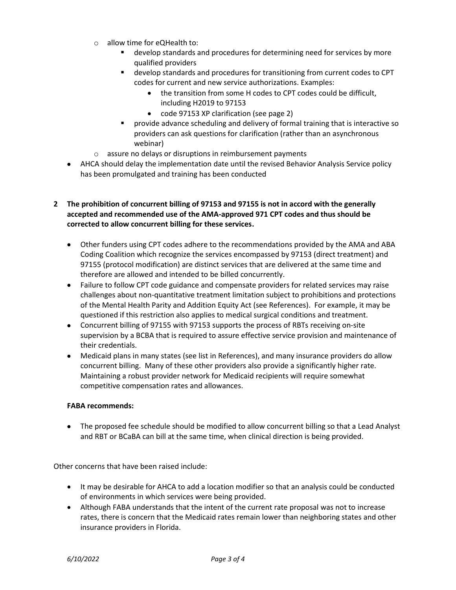- o allow time for eQHealth to:
	- develop standards and procedures for determining need for services by more qualified providers
	- develop standards and procedures for transitioning from current codes to CPT codes for current and new service authorizations. Examples:
		- the transition from some H codes to CPT codes could be difficult, including H2019 to 97153
		- code 97153 XP clarification (see page 2)
	- provide advance scheduling and delivery of formal training that is interactive so providers can ask questions for clarification (rather than an asynchronous webinar)
- o assure no delays or disruptions in reimbursement payments
- AHCA should delay the implementation date until the revised Behavior Analysis Service policy has been promulgated and training has been conducted

## **2 The prohibition of concurrent billing of 97153 and 97155 is not in accord with the generally accepted and recommended use of the AMA-approved 971 CPT codes and thus should be corrected to allow concurrent billing for these services.**

- Other funders using CPT codes adhere to the recommendations provided by the AMA and ABA Coding Coalition which recognize the services encompassed by 97153 (direct treatment) and 97155 (protocol modification) are distinct services that are delivered at the same time and therefore are allowed and intended to be billed concurrently.
- Failure to follow CPT code guidance and compensate providers for related services may raise challenges about non-quantitative treatment limitation subject to prohibitions and protections of the Mental Health Parity and Addition Equity Act (see References). For example, it may be questioned if this restriction also applies to medical surgical conditions and treatment.
- Concurrent billing of 97155 with 97153 supports the process of RBTs receiving on-site supervision by a BCBA that is required to assure effective service provision and maintenance of their credentials.
- Medicaid plans in many states (see list in References), and many insurance providers do allow concurrent billing. Many of these other providers also provide a significantly higher rate. Maintaining a robust provider network for Medicaid recipients will require somewhat competitive compensation rates and allowances.

## **FABA recommends:**

• The proposed fee schedule should be modified to allow concurrent billing so that a Lead Analyst and RBT or BCaBA can bill at the same time, when clinical direction is being provided.

Other concerns that have been raised include:

- It may be desirable for AHCA to add a location modifier so that an analysis could be conducted of environments in which services were being provided.
- Although FABA understands that the intent of the current rate proposal was not to increase rates, there is concern that the Medicaid rates remain lower than neighboring states and other insurance providers in Florida.